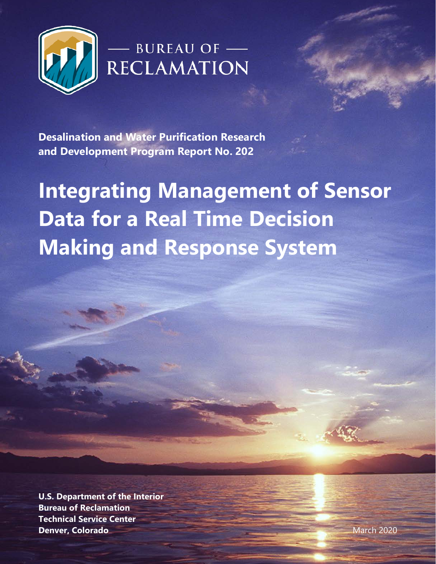

## - BUREAU OF -

**Desalination and Water Purification Research and Development Program Report No. 202**

**Integrating Management of Sensor Data for a Real Time Decision Making and Response System**

**U.S. Department of the Interior Bureau of Reclamation Technical Service Center Denver, Colorado** March 2020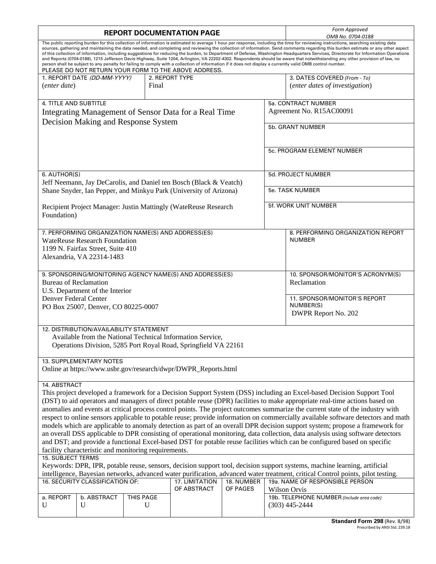| <b>REPORT DOCUMENTATION PAGE</b>                                                                                                                                                                                                                                                                                                                                                                                                                                                                                                                                                                                                                                                                                                                                                                                                                                                                                                                                     |                                               |  |   |  |  |                                           | Form Approved<br>OMB No. 0704-0188 |  |  |
|----------------------------------------------------------------------------------------------------------------------------------------------------------------------------------------------------------------------------------------------------------------------------------------------------------------------------------------------------------------------------------------------------------------------------------------------------------------------------------------------------------------------------------------------------------------------------------------------------------------------------------------------------------------------------------------------------------------------------------------------------------------------------------------------------------------------------------------------------------------------------------------------------------------------------------------------------------------------|-----------------------------------------------|--|---|--|--|-------------------------------------------|------------------------------------|--|--|
| The public reporting burden for this collection of information is estimated to average 1 hour per response, including the time for reviewing instructions, searching existing data<br>sources, gathering and maintaining the data needed, and completing and reviewing the collection of information. Send comments regarding this burden estimate or any other aspect<br>of this collection of information, including suggestions for reducing the burden, to Department of Defense, Washington Headquarters Services, Directorate for Information Operations<br>and Reports (0704-0188), 1215 Jefferson Davis Highway, Suite 1204, Arlington, VA 22202-4302. Respondents should be aware that notwithstanding any other provision of law, no<br>person shall be subject to any penalty for failing to comply with a collection of information if it does not display a currently valid OMB control number.<br>PLEASE DO NOT RETURN YOUR FORM TO THE ABOVE ADDRESS. |                                               |  |   |  |  |                                           |                                    |  |  |
|                                                                                                                                                                                                                                                                                                                                                                                                                                                                                                                                                                                                                                                                                                                                                                                                                                                                                                                                                                      | 1. REPORT DATE (DD-MM-YYYY)<br>2. REPORT TYPE |  |   |  |  |                                           | 3. DATES COVERED (From - To)       |  |  |
| <i>(enter date)</i>                                                                                                                                                                                                                                                                                                                                                                                                                                                                                                                                                                                                                                                                                                                                                                                                                                                                                                                                                  | Final                                         |  |   |  |  |                                           | (enter dates of investigation)     |  |  |
|                                                                                                                                                                                                                                                                                                                                                                                                                                                                                                                                                                                                                                                                                                                                                                                                                                                                                                                                                                      |                                               |  |   |  |  |                                           |                                    |  |  |
| 4. TITLE AND SUBTITLE                                                                                                                                                                                                                                                                                                                                                                                                                                                                                                                                                                                                                                                                                                                                                                                                                                                                                                                                                |                                               |  |   |  |  | 5a. CONTRACT NUMBER                       |                                    |  |  |
| Integrating Management of Sensor Data for a Real Time                                                                                                                                                                                                                                                                                                                                                                                                                                                                                                                                                                                                                                                                                                                                                                                                                                                                                                                |                                               |  |   |  |  | Agreement No. R15AC00091                  |                                    |  |  |
| Decision Making and Response System                                                                                                                                                                                                                                                                                                                                                                                                                                                                                                                                                                                                                                                                                                                                                                                                                                                                                                                                  |                                               |  |   |  |  |                                           |                                    |  |  |
|                                                                                                                                                                                                                                                                                                                                                                                                                                                                                                                                                                                                                                                                                                                                                                                                                                                                                                                                                                      |                                               |  |   |  |  | 5b. GRANT NUMBER                          |                                    |  |  |
|                                                                                                                                                                                                                                                                                                                                                                                                                                                                                                                                                                                                                                                                                                                                                                                                                                                                                                                                                                      |                                               |  |   |  |  |                                           |                                    |  |  |
|                                                                                                                                                                                                                                                                                                                                                                                                                                                                                                                                                                                                                                                                                                                                                                                                                                                                                                                                                                      |                                               |  |   |  |  |                                           |                                    |  |  |
|                                                                                                                                                                                                                                                                                                                                                                                                                                                                                                                                                                                                                                                                                                                                                                                                                                                                                                                                                                      |                                               |  |   |  |  |                                           | 5c. PROGRAM ELEMENT NUMBER         |  |  |
|                                                                                                                                                                                                                                                                                                                                                                                                                                                                                                                                                                                                                                                                                                                                                                                                                                                                                                                                                                      |                                               |  |   |  |  |                                           |                                    |  |  |
|                                                                                                                                                                                                                                                                                                                                                                                                                                                                                                                                                                                                                                                                                                                                                                                                                                                                                                                                                                      |                                               |  |   |  |  |                                           |                                    |  |  |
| 6. AUTHOR(S)                                                                                                                                                                                                                                                                                                                                                                                                                                                                                                                                                                                                                                                                                                                                                                                                                                                                                                                                                         |                                               |  |   |  |  | 5d. PROJECT NUMBER                        |                                    |  |  |
| Jeff Neemann, Jay DeCarolis, and Daniel ten Bosch (Black & Veatch)                                                                                                                                                                                                                                                                                                                                                                                                                                                                                                                                                                                                                                                                                                                                                                                                                                                                                                   |                                               |  |   |  |  |                                           |                                    |  |  |
| Shane Snyder, Ian Pepper, and Minkyu Park (University of Arizona)                                                                                                                                                                                                                                                                                                                                                                                                                                                                                                                                                                                                                                                                                                                                                                                                                                                                                                    |                                               |  |   |  |  | <b>5e. TASK NUMBER</b>                    |                                    |  |  |
|                                                                                                                                                                                                                                                                                                                                                                                                                                                                                                                                                                                                                                                                                                                                                                                                                                                                                                                                                                      |                                               |  |   |  |  |                                           |                                    |  |  |
| Recipient Project Manager: Justin Mattingly (WateReuse Research                                                                                                                                                                                                                                                                                                                                                                                                                                                                                                                                                                                                                                                                                                                                                                                                                                                                                                      |                                               |  |   |  |  | 5f. WORK UNIT NUMBER                      |                                    |  |  |
| Foundation)                                                                                                                                                                                                                                                                                                                                                                                                                                                                                                                                                                                                                                                                                                                                                                                                                                                                                                                                                          |                                               |  |   |  |  |                                           |                                    |  |  |
|                                                                                                                                                                                                                                                                                                                                                                                                                                                                                                                                                                                                                                                                                                                                                                                                                                                                                                                                                                      |                                               |  |   |  |  |                                           |                                    |  |  |
| 7. PERFORMING ORGANIZATION NAME(S) AND ADDRESS(ES)                                                                                                                                                                                                                                                                                                                                                                                                                                                                                                                                                                                                                                                                                                                                                                                                                                                                                                                   |                                               |  |   |  |  |                                           | 8. PERFORMING ORGANIZATION REPORT  |  |  |
| <b>WateReuse Research Foundation</b>                                                                                                                                                                                                                                                                                                                                                                                                                                                                                                                                                                                                                                                                                                                                                                                                                                                                                                                                 |                                               |  |   |  |  |                                           | <b>NUMBER</b>                      |  |  |
| 1199 N. Fairfax Street, Suite 410                                                                                                                                                                                                                                                                                                                                                                                                                                                                                                                                                                                                                                                                                                                                                                                                                                                                                                                                    |                                               |  |   |  |  |                                           |                                    |  |  |
| Alexandria, VA 22314-1483                                                                                                                                                                                                                                                                                                                                                                                                                                                                                                                                                                                                                                                                                                                                                                                                                                                                                                                                            |                                               |  |   |  |  |                                           |                                    |  |  |
|                                                                                                                                                                                                                                                                                                                                                                                                                                                                                                                                                                                                                                                                                                                                                                                                                                                                                                                                                                      |                                               |  |   |  |  |                                           |                                    |  |  |
| 9. SPONSORING/MONITORING AGENCY NAME(S) AND ADDRESS(ES)                                                                                                                                                                                                                                                                                                                                                                                                                                                                                                                                                                                                                                                                                                                                                                                                                                                                                                              |                                               |  |   |  |  |                                           | 10. SPONSOR/MONITOR'S ACRONYM(S)   |  |  |
| <b>Bureau of Reclamation</b>                                                                                                                                                                                                                                                                                                                                                                                                                                                                                                                                                                                                                                                                                                                                                                                                                                                                                                                                         |                                               |  |   |  |  |                                           | Reclamation                        |  |  |
| U.S. Department of the Interior                                                                                                                                                                                                                                                                                                                                                                                                                                                                                                                                                                                                                                                                                                                                                                                                                                                                                                                                      |                                               |  |   |  |  |                                           |                                    |  |  |
| Denver Federal Center                                                                                                                                                                                                                                                                                                                                                                                                                                                                                                                                                                                                                                                                                                                                                                                                                                                                                                                                                |                                               |  |   |  |  |                                           | 11. SPONSOR/MONITOR'S REPORT       |  |  |
| PO Box 25007, Denver, CO 80225-0007                                                                                                                                                                                                                                                                                                                                                                                                                                                                                                                                                                                                                                                                                                                                                                                                                                                                                                                                  |                                               |  |   |  |  |                                           | NUMBER(S)                          |  |  |
|                                                                                                                                                                                                                                                                                                                                                                                                                                                                                                                                                                                                                                                                                                                                                                                                                                                                                                                                                                      |                                               |  |   |  |  |                                           | DWPR Report No. 202                |  |  |
|                                                                                                                                                                                                                                                                                                                                                                                                                                                                                                                                                                                                                                                                                                                                                                                                                                                                                                                                                                      |                                               |  |   |  |  |                                           |                                    |  |  |
| 12. DISTRIBUTION/AVAILABILITY STATEMENT                                                                                                                                                                                                                                                                                                                                                                                                                                                                                                                                                                                                                                                                                                                                                                                                                                                                                                                              |                                               |  |   |  |  |                                           |                                    |  |  |
| Available from the National Technical Information Service,                                                                                                                                                                                                                                                                                                                                                                                                                                                                                                                                                                                                                                                                                                                                                                                                                                                                                                           |                                               |  |   |  |  |                                           |                                    |  |  |
| Operations Division, 5285 Port Royal Road, Springfield VA 22161                                                                                                                                                                                                                                                                                                                                                                                                                                                                                                                                                                                                                                                                                                                                                                                                                                                                                                      |                                               |  |   |  |  |                                           |                                    |  |  |
| 13. SUPPLEMENTARY NOTES                                                                                                                                                                                                                                                                                                                                                                                                                                                                                                                                                                                                                                                                                                                                                                                                                                                                                                                                              |                                               |  |   |  |  |                                           |                                    |  |  |
| Online at https://www.usbr.gov/research/dwpr/DWPR_Reports.html                                                                                                                                                                                                                                                                                                                                                                                                                                                                                                                                                                                                                                                                                                                                                                                                                                                                                                       |                                               |  |   |  |  |                                           |                                    |  |  |
|                                                                                                                                                                                                                                                                                                                                                                                                                                                                                                                                                                                                                                                                                                                                                                                                                                                                                                                                                                      |                                               |  |   |  |  |                                           |                                    |  |  |
| 14. ABSTRACT                                                                                                                                                                                                                                                                                                                                                                                                                                                                                                                                                                                                                                                                                                                                                                                                                                                                                                                                                         |                                               |  |   |  |  |                                           |                                    |  |  |
| This project developed a framework for a Decision Support System (DSS) including an Excel-based Decision Support Tool                                                                                                                                                                                                                                                                                                                                                                                                                                                                                                                                                                                                                                                                                                                                                                                                                                                |                                               |  |   |  |  |                                           |                                    |  |  |
| (DST) to aid operators and managers of direct potable reuse (DPR) facilities to make appropriate real-time actions based on                                                                                                                                                                                                                                                                                                                                                                                                                                                                                                                                                                                                                                                                                                                                                                                                                                          |                                               |  |   |  |  |                                           |                                    |  |  |
| anomalies and events at critical process control points. The project outcomes summarize the current state of the industry with                                                                                                                                                                                                                                                                                                                                                                                                                                                                                                                                                                                                                                                                                                                                                                                                                                       |                                               |  |   |  |  |                                           |                                    |  |  |
| respect to online sensors applicable to potable reuse; provide information on commercially available software detectors and math                                                                                                                                                                                                                                                                                                                                                                                                                                                                                                                                                                                                                                                                                                                                                                                                                                     |                                               |  |   |  |  |                                           |                                    |  |  |
| models which are applicable to anomaly detection as part of an overall DPR decision support system; propose a framework for                                                                                                                                                                                                                                                                                                                                                                                                                                                                                                                                                                                                                                                                                                                                                                                                                                          |                                               |  |   |  |  |                                           |                                    |  |  |
| an overall DSS applicable to DPR consisting of operational monitoring, data collection, data analysis using software detectors                                                                                                                                                                                                                                                                                                                                                                                                                                                                                                                                                                                                                                                                                                                                                                                                                                       |                                               |  |   |  |  |                                           |                                    |  |  |
| and DST; and provide a functional Excel-based DST for potable reuse facilities which can be configured based on specific                                                                                                                                                                                                                                                                                                                                                                                                                                                                                                                                                                                                                                                                                                                                                                                                                                             |                                               |  |   |  |  |                                           |                                    |  |  |
| facility characteristic and monitoring requirements.                                                                                                                                                                                                                                                                                                                                                                                                                                                                                                                                                                                                                                                                                                                                                                                                                                                                                                                 |                                               |  |   |  |  |                                           |                                    |  |  |
| 15. SUBJECT TERMS                                                                                                                                                                                                                                                                                                                                                                                                                                                                                                                                                                                                                                                                                                                                                                                                                                                                                                                                                    |                                               |  |   |  |  |                                           |                                    |  |  |
| Keywords: DPR, IPR, potable reuse, sensors, decision support tool, decision support systems, machine learning, artificial                                                                                                                                                                                                                                                                                                                                                                                                                                                                                                                                                                                                                                                                                                                                                                                                                                            |                                               |  |   |  |  |                                           |                                    |  |  |
| intelligence, Bayesian networks, advanced water purification, advanced water treatment, critical Control points, pilot testing.                                                                                                                                                                                                                                                                                                                                                                                                                                                                                                                                                                                                                                                                                                                                                                                                                                      |                                               |  |   |  |  |                                           |                                    |  |  |
| 19a. NAME OF RESPONSIBLE PERSON<br>16. SECURITY CLASSIFICATION OF:<br>17. LIMITATION<br>18. NUMBER                                                                                                                                                                                                                                                                                                                                                                                                                                                                                                                                                                                                                                                                                                                                                                                                                                                                   |                                               |  |   |  |  |                                           |                                    |  |  |
| OF ABSTRACT<br>OF PAGES<br>Wilson Orvis                                                                                                                                                                                                                                                                                                                                                                                                                                                                                                                                                                                                                                                                                                                                                                                                                                                                                                                              |                                               |  |   |  |  |                                           |                                    |  |  |
| a. REPORT<br>b. ABSTRACT<br>THIS PAGE                                                                                                                                                                                                                                                                                                                                                                                                                                                                                                                                                                                                                                                                                                                                                                                                                                                                                                                                |                                               |  |   |  |  | 19b. TELEPHONE NUMBER (Include area code) |                                    |  |  |
| U                                                                                                                                                                                                                                                                                                                                                                                                                                                                                                                                                                                                                                                                                                                                                                                                                                                                                                                                                                    | U                                             |  | U |  |  |                                           | $(303)$ 445-2444                   |  |  |
|                                                                                                                                                                                                                                                                                                                                                                                                                                                                                                                                                                                                                                                                                                                                                                                                                                                                                                                                                                      |                                               |  |   |  |  |                                           |                                    |  |  |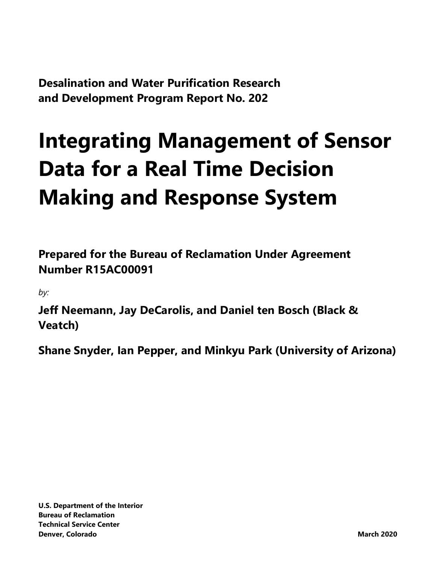**Desalination and Water Purification Research and Development Program Report No. 202**

## **Integrating Management of Sensor Data for a Real Time Decision Making and Response System**

**Prepared for the Bureau of Reclamation Under Agreement Number R15AC00091**

*by:*

**Jeff Neemann, Jay DeCarolis, and Daniel ten Bosch (Black & Veatch)**

**Shane Snyder, Ian Pepper, and Minkyu Park (University of Arizona)**

**U.S. Department of the Interior Bureau of Reclamation Technical Service Center Denver, Colorado March 2020**